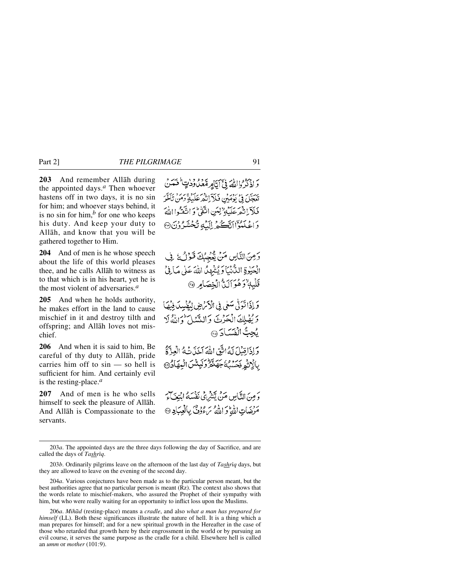**203** And remember Allåh during the appointed days.*<sup>a</sup>* Then whoever hastens off in two days, it is no sin for him; and whoever stays behind, it is no sin for him, $<sup>b</sup>$  for one who keeps</sup> his duty. And keep your duty to Allåh, and know that you will be gathered together to Him.

**204** And of men is he whose speech about the life of this world pleases thee, and he calls Allåh to witness as to that which is in his heart, yet he is the most violent of adversaries.*<sup>a</sup>*

**205** And when he holds authority, he makes effort in the land to cause mischief in it and destroy tilth and offspring; and Allåh loves not mischief.

**206** And when it is said to him, Be careful of thy duty to Allåh, pride carries him off to sin — so hell is sufficient for him. And certainly evil is the resting-place.*<sup>a</sup>*

**207** And of men is he who sells himself to seek the pleasure of Allåh. And Allåh is Compassionate to the servants.

وَاذْكُرُوااللَّهَ فِيَّ أَيَّاهِرِمْعَكُوْدَيٍّ فَعَدَنَّ تَعَجَّلَ فِي ْ يَوْمَيْنِ فَلاَّ إِنْهُمْ عَلَيْهِ وَمَنْ تَأْخَرَ فَلَآ إِنَّهُمْ عَلَيْهِ ٌ لِبَنِ اتَّقَىٰ ۚ وَ اتَّقَدُّوا اللَّهَ وَاعْلَمُوْٓاانَّڪُمْ إِلَيۡ4ُ تُحۡشَدُوۡنَ۞

وَمِنَ النَّاسِ مَنْ يُّعْجِبُكَ قَوْلُ ذَلِّ الْحَيْدِةِ الدَّنْبَارَ يُشْهِدُ اللّهَ عَلَى مَافِيَّ قَلْبِهٖ ٌ دَهُوَ أَلَيٌّ الْخِصَامِرِ ۞

وَ إِذَا تَوَلَّىٰ سَعٰى فِي الْأَمْهِضِ لِيُفْسِدَ فِيُهَا وَيُهْلِكَ الْحَرْثَ وَالسَّنْلَ وَالثَّهُ لَا يُجِبُّ الْفَسَادَ ۞

وَإِذَا قِبْلَ لَهُ إِنَّ اللَّهَ آخَذَ نَبِهُ إِنَّ وَلَهُمْ إِ بِالْاتُمِ فَحَسَبُكُمْ جَهَنَّهُ وَلَهِئَسَ الْبَهَادُ۞

وَ مِنَ النَّامِينِ مَنْ يَتَنْبُرِيُّ نَفْسَهُ ابْنِعَيَاتِهِ ۖ مَرْضَاتِ اللَّهُ تَرَ اللَّهُ سَءُدُونٌ بِالْعِبَادِ ۞

203*a*. The appointed days are the three days following the day of Sacrifice, and are called the days of *Tashriq*.

<sup>203</sup>*b*. Ordinarily pilgrims leave on the afternoon of the last day of *Tashriq* days, but they are allowed to leave on the evening of the second day.

<sup>204</sup>*a*. Various conjectures have been made as to the particular person meant, but the best authorities agree that no particular person is meant (Rz). The context also shows that the words relate to mischief-makers, who assured the Prophet of their sympathy with him, but who were really waiting for an opportunity to inflict loss upon the Muslims.

<sup>206</sup>*a*. *Mihåd* (resting-place) means a *cradle*, and also *what a man has prepared for himself* (LL). Both these significances illustrate the nature of hell. It is a thing which a man prepares for himself; and for a new spiritual growth in the Hereafter in the case of those who retarded that growth here by their engrossment in the world or by pursuing an evil course, it serves the same purpose as the cradle for a child. Elsewhere hell is called an *umm* or *mother* (101:9).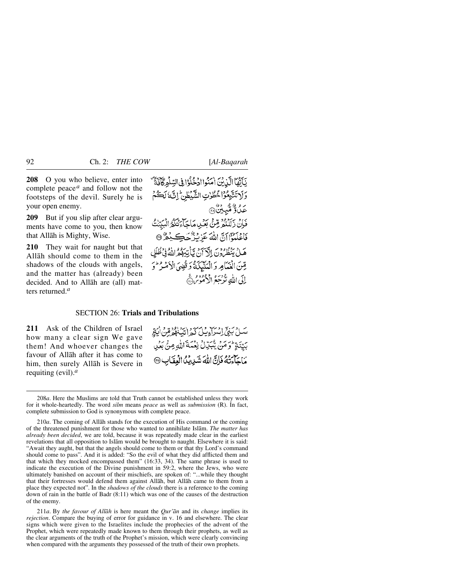**208** O you who believe, enter into complete peace *<sup>a</sup>* and follow not the footsteps of the devil. Surely he is your open enemy.

**209** But if you slip after clear arguments have come to you, then know that Allåh is Mighty, Wise.

**210** They wait for naught but that Allåh should come to them in the shadows of the clouds with angels, and the matter has (already) been decided. And to Allåh are (all) matters returned.*<sup>a</sup>*

يَأَنَّهَا الَّذِينَ اٰمَنُواادْخُلُوْا فِي السِّلْمِرْكَافَيَّةً ۖ وَلاتَتَّبِعُوْا خُطُوْتِ الشَّبْطُنِّ إِنَّهَ لَكُمْ بره وروسي.<br>عبدو منتبعين « فَإِنْ دَلِّلْنَهُمْ قِتْنَ بَعْبِي مَاجَاتِيَكُمُّ الْبَيِّنْتُ فَاعْلَمُوْٓالِّ اللَّهَ عَزِيْزُ حَكِيْمٌ @ هَـلْ يَنْظُرُونَ إِلَّا َنَ مِّيَاْتِيْهِهُمْ اللَّهُ فِي ظُلَلِ مِّنَ الْغُيَامِرِ وَالْعَلَيْكَةُ وَقُضِيَ الْأَصْرُ ثَرَّ وَ اِلَى اللَّهِ نَدْجَعُ الْدُمُومِ ۞

# SECTION 26: **Trials and Tribulations**

**211** Ask of the Children of Israel how many a clear sign We gave them! And whoever changes the favour of Allåh after it has come to him, then surely Allåh is Severe in requiting (evil).*<sup>a</sup>*

سَلِّ بَنِيٍّ اِسْرَاءِ بِيْلَ كَيْهِ ابْيَنَاهُمْ قِنْ اٰبَاقِهِ بَيِّنَةٍ وَمَنْ يَبْدِّلْ نِعْمَةَ اللَّهِ مِنْ بِعَرِ مَاحَلَّمَتُهُ فَإِنَّ اللَّهَ شَدِيبُكُ الْعِقَابِ ۞

211*a*. By *the favour of Allåh* is here meant the *Qur'ån* and its *change* implies its *rejection*. Compare the buying of error for guidance in v. 16 and elsewhere. The clear signs which were given to the Israelites include the prophecies of the advent of the Prophet, which were repeatedly made known to them through their prophets, as well as the clear arguments of the truth of the Prophet's mission, which were clearly convincing when compared with the arguments they possessed of the truth of their own prophets.

<sup>208</sup>*a*. Here the Muslims are told that Truth cannot be established unless they work for it whole-heartedly. The word *silm* means *peace* as well as *submission* (R). In fact, complete submission to God is synonymous with complete peace.

<sup>210</sup>*a*. The coming of Allåh stands for the execution of His command or the coming of the threatened punishment for those who wanted to annihilate Islåm. *The matter has already been decided*, we are told, because it was repeatedly made clear in the earliest revelations that all opposition to Islåm would be brought to naught. Elsewhere it is said: "Await they aught, but that the angels should come to them or that thy Lord's command should come to pass". And it is added: "So the evil of what they did afflicted them and that which they mocked encompassed them" (16:33, 34). The same phrase is used to indicate the execution of the Divine punishment in 59:2, where the Jews, who were ultimately banished on account of their mischiefs, are spoken of: "...while they thought that their fortresses would defend them against Allåh, but Allåh came to them from a place they expected not". In the *shadows of the clouds* there is a reference to the coming down of rain in the battle of Badr (8:11) which was one of the causes of the destruction of the enemy.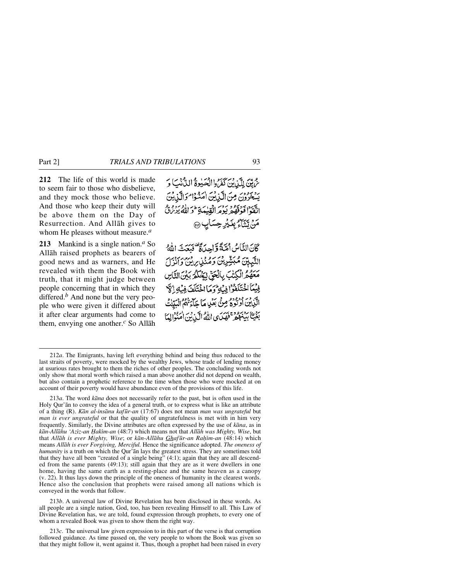**212** The life of this world is made to seem fair to those who disbelieve, and they mock those who believe. And those who keep their duty will be above them on the Day of Resurrection. And Allåh gives to whom He pleases without measure.*<sup>a</sup>*

**213** Mankind is a single nation.*<sup>a</sup>* So Allåh raised prophets as bearers of good news and as warners, and He revealed with them the Book with truth, that it might judge between people concerning that in which they differed.*<sup>b</sup>* And none but the very people who were given it differed about it after clear arguments had come to them, envying one another.*<sup>c</sup>* So Allåh

عُ مِيّنَ لِلَّذِينَ كَفَرُوا الْحَيْوَةُ الدُّّنْبَ وَ بِهِ بِمُوْرِي مِنَ الَّذِينَ امَنُوْا مَوَالَّذِينَ اتّقوا فَوُقّهُمْ يَوْمَرَ الْقِيْمَةِ مَوَ اللّهِ يُرْمَنْ مَنْ يَتَنَاءُ بِغَيْرِ حِسَابٍ ۞

كَانَ النَّاسُ أَصَّةً وَّاحِدَاةٌ فَيَعَبَّ اللَّهُ النَّبِيِّينَ مُبَيَّتِينِينَ وَمُدْنِينِ رَبِّنِ وَأَنْذَلَ مَعْهُمُ الْكِتْبَ بِالْحَقِّ لِيَحْكُمُ بَيْنَ التَّاسِ فِيْيَنَا اخْتَلَفَوْ إِفْسَاءِ وَمَا اخْتَلَفَ فِيْهِ إِنَّ الكِّيْدِينِ أَوْتُودُّ مِنْ بَعْلِ مَا جَاءَتْهُمُّ الْبَيِّيْتُ بَغْيَّا بِيَنْهُمْ فَقِيَدَى اللَّهُ الَّذِيْنَ أُمَنُوالِهَا

213*b*. A universal law of Divine Revelation has been disclosed in these words. As all people are a single nation, God, too, has been revealing Himself to all. This Law of Divine Revelation has, we are told, found expression through prophets, to every one of whom a revealed Book was given to show them the right way.

213*c*. The universal law given expression to in this part of the verse is that corruption followed guidance. As time passed on, the very people to whom the Book was given so that they might follow it, went against it. Thus, though a prophet had been raised in every

<sup>212</sup>*a*. The Emigrants, having left everything behind and being thus reduced to the last straits of poverty, were mocked by the wealthy Jews, whose trade of lending money at usurious rates brought to them the riches of other peoples. The concluding words not only show that moral worth which raised a man above another did not depend on wealth, but also contain a prophetic reference to the time when those who were mocked at on account of their poverty would have abundance even of the provisions of this life.

<sup>213</sup>*a*. The word *kåna* does not necessarily refer to the past, but is often used in the Holy Qur'ån to convey the idea of a general truth, or to express what is like an attribute of a thing (R). *Kån al-insånu kaf∂r-an* (17:67) does not mean *man was ungrateful* but *man is ever ungrateful* or that the quality of ungratefulness is met with in him very frequently. Similarly, the Divine attributes are often expressed by the use of *kåna*, as in *kån-Allåhu 'Azßz-an Ïakßm-an* (48:7) which means not that *Allåh was Mighty, Wise*, but that *Allåh is ever Mighty, Wise*; or *kån-Allåhu Ghaf∂r-an Raƒßm-an* (48:14) which means *Allåh is ever Forgiving, Merciful.* Hence the significance adopted. *The oneness of humanity* is a truth on which the Qur'ån lays the greatest stress. They are sometimes told that they have all been "created of a single being" (4:1); again that they are all descended from the same parents (49:13); still again that they are as it were dwellers in one home, having the same earth as a resting-place and the same heaven as a canopy (v. 22). It thus lays down the principle of the oneness of humanity in the clearest words. Hence also the conclusion that prophets were raised among all nations which is conveyed in the words that follow.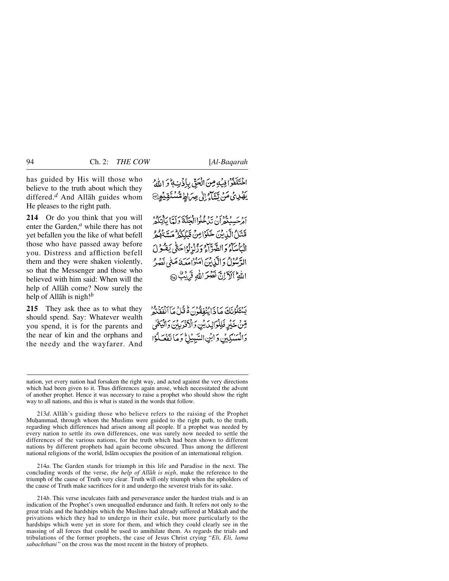has guided by His will those who believe to the truth about which they differed.*<sup>d</sup>* And Allåh guides whom He pleases to the right path.

**214** Or do you think that you will enter the Garden,*<sup>a</sup>* while there has not yet befallen you the like of what befell those who have passed away before you. Distress and affliction befell them and they were shaken violently, so that the Messenger and those who believed with him said: When will the help of Allåh come? Now surely the help of Allåh is nigh!*<sup>b</sup>*

**215** They ask thee as to what they should spend. Say: Whatever wealth you spend, it is for the parents and the near of kin and the orphans and the needy and the wayfarer. And اخْتَلْفُرًا فِيهِ مِنَ الْحَقِّ بِإِذْنِ ﴾ وَ اللَّهُ <u>ۣ</u>ؽڣڔۣۣؽٙٙ؈ٞؾڔٷڸڸڝؚ<sub>ۘٵ</sub>ٳڟڞ۠ؾؘۊٙؽۄۣ

أَمْرَحَسِبِنَّهُمْ أَنْ تَدْخُلُوا الْجَنَّةَ وَلَمَّا بِأَنْتَكُمْ مَّنَنْ الَّذِينَ خَلَوْاصِنَ قَبِلِكُمْ مِّسَتَعْلَمُ مِّ الْيَأْسَآءُ وَالضَّدَّاءُ وَزُنْهُ لُوَّاحَتَّى يَقْبُولُ الدَّمُونُ وَالَّذِينَ امْنُوامِعَهُ مَتَّى نَصْرُ اللَّهِ ۖ أَلَآ إِنَّ نَصْرَ إِللَّهِ قَرَابِكٌ ۞

يَسْتَكُوْنَكَ مَا ذَائِنُفَقُونَ هُ قُبْلُ مَآ أَنْفَقَنَّهُ قِينْ خَيْرِ فَلِلْوَالِدَيْنِ وَالْأَقْرَبِيْنَ وَالْيَهْمَىٰ وَالْمَسْكِينِ وَابْنِ السَّبِيْلِ وَمَا تَفَعَّلُوْا

213*d*. Allåh's guiding those who believe refers to the raising of the Prophet Muhammad, through whom the Muslims were guided to the right path, to the truth, regarding which differences had arisen among all people. If a prophet was needed by every nation to settle its own differences, one was surely now needed to settle the differences of the various nations, for the truth which had been shown to different nations by different prophets had again become obscured. Thus among the different national religions of the world, Islåm occupies the position of an international religion.

214*a*. The Garden stands for triumph in this life and Paradise in the next. The concluding words of the verse, *the help of Allåh is nigh*, make the reference to the triumph of the cause of Truth very clear. Truth will only triumph when the upholders of the cause of Truth make sacrifices for it and undergo the severest trials for its sake.

214*b*. This verse inculcates faith and perseverance under the hardest trials and is an indication of the Prophet's own unequalled endurance and faith. It refers not only to the great trials and the hardships which the Muslims had already suffered at Makkah and the privations which they had to undergo in their exile, but more particularly to the hardships which were yet in store for them, and which they could clearly see in the massing of all forces that could be used to annihilate them. As regards the trials and tribulations of the former prophets, the case of Jesus Christ crying "*Eli, Eli, lama sabachthani* " on the cross was the most recent in the history of prophets.

nation, yet every nation had forsaken the right way, and acted against the very directions which had been given to it. Thus differences again arose, which necessitated the advent of another prophet. Hence it was necessary to raise a prophet who should show the right way to all nations, and this is what is stated in the words that follow.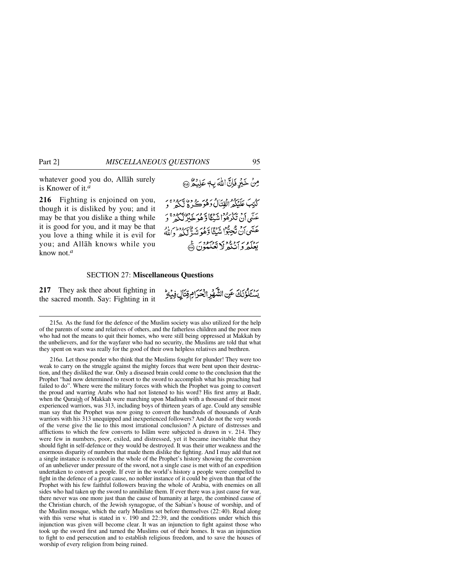whatever good you do, Allåh surely is Knower of it.*<sup>a</sup>*

**216** Fighting is enjoined on you, though it is disliked by you; and it may be that you dislike a thing while it is good for you, and it may be that you love a thing while it is evil for you; and Allåh knows while you know not.*<sup>a</sup>*

### SECTION 27: **Miscellaneous Questions**

**217** They ask thee about fighting in the sacred month. Say: Fighting in it

215*a.* As the fund for the defence of the Muslim society was also utilized for the help of the parents of some and relatives of others, and the fatherless children and the poor men who had not the means to quit their homes, who were still being oppressed at Makkah by the unbelievers, and for the wayfarer who had no security, the Muslims are told that what they spent on wars was really for the good of their own helpless relatives and brethren.

216*a*. Let those ponder who think that the Muslims fought for plunder! They were too weak to carry on the struggle against the mighty forces that were bent upon their destruction, and they disliked the war. Only a diseased brain could come to the conclusion that the Prophet "had now determined to resort to the sword to accomplish what his preaching had failed to do". Where were the military forces with which the Prophet was going to convert the proud and warring Arabs who had not listened to his word? His first army at Badr, when the Quraish of Makkah were marching upon Madinah with a thousand of their most experienced warriors, was 313, including boys of thirteen years of age. Could any sensible man say that the Prophet was now going to convert the hundreds of thousands of Arab warriors with his 313 unequipped and inexperienced followers? And do not the very words of the verse give the lie to this most irrational conclusion? A picture of distresses and afflictions to which the few converts to Islåm were subjected is drawn in v. 214. They were few in numbers, poor, exiled, and distressed, yet it became inevitable that they should fight in self-defence or they would be destroyed. It was their utter weakness and the enormous disparity of numbers that made them dislike the fighting. And I may add that not a single instance is recorded in the whole of the Prophet's history showing the conversion of an unbeliever under pressure of the sword, not a single case is met with of an expedition undertaken to convert a people. If ever in the world's history a people were compelled to fight in the defence of a great cause, no nobler instance of it could be given than that of the Prophet with his few faithful followers braving the whole of Arabia, with enemies on all sides who had taken up the sword to annihilate them. If ever there was a just cause for war, there never was one more just than the cause of humanity at large, the combined cause of the Christian church, of the Jewish synagogue, of the Sabian's house of worship, and of the Muslim mosque, which the early Muslims set before themselves (22:40). Read along with this verse what is stated in v. 190 and 22:39, and the conditions under which this injunction was given will become clear. It was an injunction to fight against those who took up the sword first and turned the Muslims out of their homes. It was an injunction to fight to end persecution and to establish religious freedom, and to save the houses of worship of every religion from being ruined.

مِنْ خَيْرِ فَإِنَّ اللَّهَ بِ4 عَلِيكُمْ ۞

َكَتِبَ عَلَيْكُمُرُالْقِتَالُ دَهُوَكُرِهُ ۚ وَهُ ٱلْكُمْ ۚ وَ ب برد مدرود برد» برور برو» رود.<br>عَسَى أَنْ تَكْرَهُواشِيْئًاوْ هُوْحَلِرْلَكُمْ ۚ وَ عَلَّمَى أَنْ تَجِبُّوْا شَيْئًا وَّهُوَ شَدٌ قَلَّكُهُ وَاللَّهُ بردسور مزوود بيوسود ع<br>بعلكه وانتكه لا تعليلون ها

يَسْتَلْؤُنَكَ عَنِ الشَّهْرِ الْحَرَامِ قِتَالٍ فِيْهِ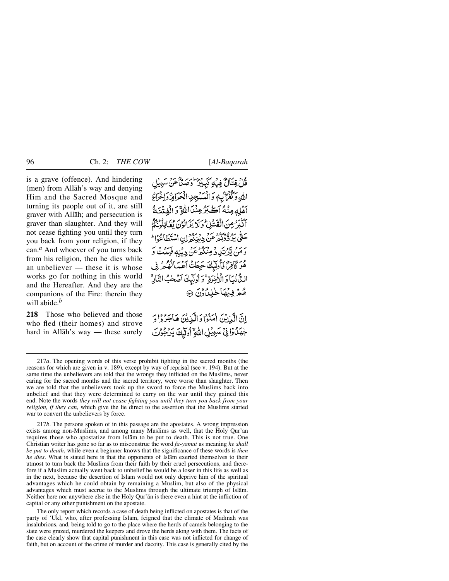is a grave (offence). And hindering (men) from Allåh's way and denying Him and the Sacred Mosque and turning its people out of it, are still graver with Allåh; and persecution is graver than slaughter. And they will not cease fighting you until they turn you back from your religion, if they can.*<sup>a</sup>* And whoever of you turns back from his religion, then he dies while an unbeliever — these it is whose works go for nothing in this world and the Hereafter. And they are the companions of the Fire: therein they will abide.*<sup>b</sup>*

**218** Those who believed and those who fled (their homes) and strove hard in Allåh's way — these surely

قُلْ قِتَالٌ فِيهِ كَبِيْدٌ وَصِدٌّ عَنْ سَبِيْلِ اللهِ وَكُفْرٌ بِهِ وَالْمُسْجِدِ الْحَرَاةِ وَإِخْرَاجٌ أَهْلِهِ مِنْهُ أَكَبَرُ عِنْدَ اللَّهِ ۚ وَ الْفِتْنَةُ أَكْبَرُ مِنَ الْقَشَلِ وَلَا يَزَ الْوُنَ يُقَاتِلُونَكُمْ سطى بردوم و برو در برودن<br>حَتّى بِردّْدُكْمْ عَنْ دِيْنِكُمْ إِنِ اسْتَطَاعُوْا رىم تەتكەد مېڭگەغنى دېنەفىيڭ كە هُوَ كَافِرٌ، فَأُولَٰٓيَكَ حَبِطَتْ أَعۡمَىٰٓالۡهُمُمۡ فِي الدُّنْيَا وَالْأَخِرَةِ ۚ وَأُولَيْكَ آصَحْبُ النَّالِّ مُعْرِفِيُهَاخْلِلُوْنَ @

إِنَّ الَّذِيْنَ اٰمَنُوْا وَالَّذِيْنَ هَاجَرُوْا وَ جْهَدُوافِي سَبِيْلِ اللَّهِ أُولِيكَ يَدْجُونَ

217*a*. The opening words of this verse prohibit fighting in the sacred months (the reasons for which are given in v. 189), except by way of reprisal (see v. 194). But at the same time the unbelievers are told that the wrongs they inflicted on the Muslims, never caring for the sacred months and the sacred territory, were worse than slaughter. Then we are told that the unbelievers took up the sword to force the Muslims back into unbelief and that they were determined to carry on the war until they gained this end. Note the words *they will not cease fighting you until they turn you back from your religion, if they can*, which give the lie direct to the assertion that the Muslims started war to convert the unbelievers by force.

217*b*. The persons spoken of in this passage are the apostates. A wrong impression exists among non-Muslims, and among many Muslims as well, that the Holy Qur'ån requires those who apostatize from Islåm to be put to death. This is not true. One Christian writer has gone so far as to misconstrue the word *fa-yamut* as meaning *he shall be put to death*, while even a beginner knows that the significance of these words is *then he dies*. What is stated here is that the opponents of Islåm exerted themselves to their utmost to turn back the Muslims from their faith by their cruel persecutions, and therefore if a Muslim actually went back to unbelief he would be a loser in this life as well as in the next, because the desertion of Islåm would not only deprive him of the spiritual advantages which he could obtain by remaining a Muslim, but also of the physical advantages which must accrue to the Muslims through the ultimate triumph of Islåm. Neither here nor anywhere else in the Holy Qur'ån is there even a hint at the infliction of capital or any other punishment on the apostate.

The only report which records a case of death being inflicted on apostates is that of the party of 'Ukl, who, after professing Islām, feigned that the climate of Madinah was insalubrious, and, being told to go to the place where the herds of camels belonging to the state were grazed, murdered the keepers and drove the herds along with them. The facts of the case clearly show that capital punishment in this case was not inflicted for change of faith, but on account of the crime of murder and dacoity. This case is generally cited by the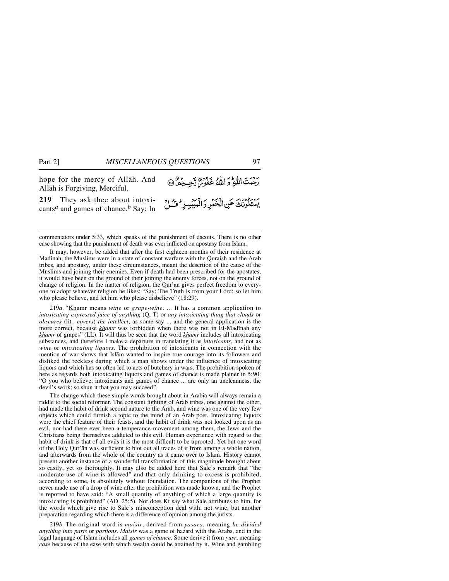رديت الله و الله عَفُوسٌ رَّحِيدُهُ @ hope for the mercy of Allåh. And Allåh is Forgiving, Merciful. **219** They ask thee about intoxi-يستكونك عن الخنر والمبيير وشل cants*<sup>a</sup>* and games of chance.*<sup>b</sup>* Say: In

commentators under 5:33, which speaks of the punishment of dacoits. There is no other case showing that the punishment of death was ever inflicted on apostasy from Islåm.

It may, however, be added that after the first eighteen months of their residence at Madinah, the Muslims were in a state of constant warfare with the Quraish and the Arab tribes, and apostasy, under these circumstances, meant the desertion of the cause of the Muslims and joining their enemies. Even if death had been prescribed for the apostates, it would have been on the ground of their joining the enemy forces, not on the ground of change of religion. In the matter of religion, the Qur'ån gives perfect freedom to everyone to adopt whatever religion he likes: "Say: The Truth is from your Lord; so let him who please believe, and let him who please disbelieve" (18:29).

219*a*. "Khamr means *wine* or *grape-wine*. ... It has a common application to *intoxicating expressed juice of anything* (Q, T) or *any intoxicating thing that clouds* or *obscures* (lit., *covers*) *the intellect*, as some say ... and the general application is the more correct, because *khamr* was forbidden when there was not in El-Madinah any *khamr* of grapes" (LL). It will thus be seen that the word *khamr* includes all intoxicating substances, and therefore I make a departure in translating it as *intoxicants*, and not as *wine* or *intoxicating liquors*. The prohibition of intoxicants in connection with the mention of war shows that Islåm wanted to inspire true courage into its followers and disliked the reckless daring which a man shows under the influence of intoxicating liquors and which has so often led to acts of butchery in wars. The prohibition spoken of here as regards both intoxicating liquors and games of chance is made plainer in 5:90: "O you who believe, intoxicants and games of chance ... are only an uncleanness, the devil's work; so shun it that you may succeed".

The change which these simple words brought about in Arabia will always remain a riddle to the social reformer. The constant fighting of Arab tribes, one against the other, had made the habit of drink second nature to the Arab, and wine was one of the very few objects which could furnish a topic to the mind of an Arab poet. Intoxicating liquors were the chief feature of their feasts, and the habit of drink was not looked upon as an evil, nor had there ever been a temperance movement among them, the Jews and the Christians being themselves addicted to this evil. Human experience with regard to the habit of drink is that of all evils it is the most difficult to be uprooted. Yet but one word of the Holy Qur'ån was sufficient to blot out all traces of it from among a whole nation, and afterwards from the whole of the country as it came over to Islåm. History cannot present another instance of a wonderful transformation of this magnitude brought about so easily, yet so thoroughly. It may also be added here that Sale's remark that "the moderate use of wine is allowed" and that only drinking to excess is prohibited, according to some, is absolutely without foundation. The companions of the Prophet never made use of a drop of wine after the prohibition was made known, and the Prophet is reported to have said: "A small quantity of anything of which a large quantity is intoxicating is prohibited" (AD. 25:5). Nor does Kf say what Sale attributes to him, for the words which give rise to Sale's misconception deal with, not wine, but another preparation regarding which there is a difference of opinion among the jurists.

219*b*. The original word is *maisir*, derived from *yasara*, meaning *he divided anything into parts* or *portions*. *Maisir* was a game of hazard with the Arabs, and in the legal language of Islåm includes all *games of chance*. Some derive it from *yusr*, meaning *ease* because of the ease with which wealth could be attained by it. Wine and gambling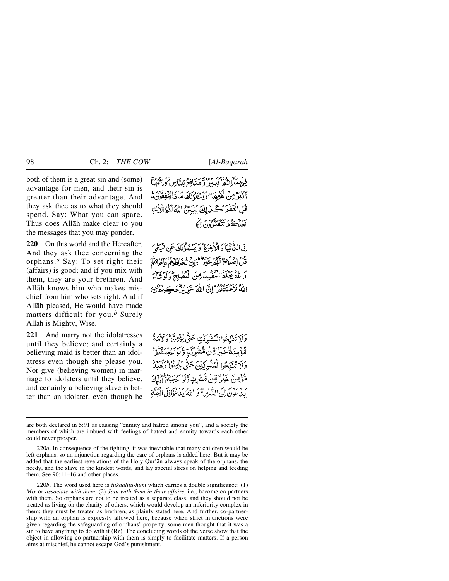both of them is a great sin and (some) advantage for men, and their sin is greater than their advantage. And they ask thee as to what they should spend. Say: What you can spare. Thus does Allåh make clear to you the messages that you may ponder,

**220** On this world and the Hereafter. And they ask thee concerning the orphans.*<sup>a</sup>* Say: To set right their (affairs) is good; and if you mix with them, they are your brethren. And Allåh knows him who makes mischief from him who sets right. And if Allåh pleased, He would have made matters difficult for you.*<sup>b</sup>* Surely Allåh is Mighty, Wise.

**221** And marry not the idolatresses until they believe; and certainly a believing maid is better than an idolatress even though she please you. Nor give (believing women) in marriage to idolaters until they believe, and certainly a believing slave is better than an idolater, even though he فِيهْمَآ إِنْهُمْ كَيِبْرٌ وَّ مَنَافِعُ لِلنَّاسِ وَإِنْهُمْنَا رُمِنْ تَفْغِهَا لَوَيَسْتَلْوَنَكَ مَاذَا يُنْفِقُونَ مَّ الْعَفْوَ كَلَّ لِكَ يُسَبِّئُ اللَّهُ لَكُمُ الَّذِينَ بره و بریه تور.<br>نعلک مرتبعگون ۱۹

في التَّانِيَا وَ الْإِخْرَةِ ۖ وَ يَسْئِلُوْنَكَ عَنِ الْمَتَالِ قُلْ اِصْلَاحُ لَهُمْ خَيْرٍ وَإِنْ تَخَالِطُوْهِمْ فَإِخْوَانَكُمْ وَاللَّهُ يَعْلَمُ الْمُفْسِدَ مِنَ الْمُصْلِحِ وَلَوْ تَبَاءَ اللهُ لِأَعْنُتُكُمْ إِنَّ اللَّهَ عَزِيزُ حَكٍّ وَلاَ ﴾

وَلَا تَنكِحُوا الْمُشْدَكْتِ حَتَّى يُؤْمِنَّ وَلَاْمَةٌ مَّؤْمِنَةُ خَيْرٌ مِّنَ مُّشْرِكَةٍ وَّلَوْاعَجَبَتْكُمُّ وَلَا تَنْكِحُواالْمُشْبِرِكِيْنَ حَتَّى يُؤْمِنُوا وَلِعِبِلَا مَّؤْمِنٌ خَيْرٌ مِّنْ مُّشْرِكٍ وَّكَوْ أَعْجَبَكُمْ أَوْلَيْكَ رِ دِ وَمِنَ إِلَى النَّارِهِ ۖ وَ اللَّهُ يَدَعْوَالِلَى الْجَنَّةِ

220*b*. The word used here is *tukhālitū-hum* which carries a double significance: (1) *Mix* or *associate with them*, (2) *Join with them in their affairs*, i.e., become co-partners with them. So orphans are not to be treated as a separate class, and they should not be treated as living on the charity of others, which would develop an inferiority complex in them; they must be treated as brethren, as plainly stated here. And further, co-partnership with an orphan is expressly allowed here, because when strict injunctions were given regarding the safeguarding of orphans' property, some men thought that it was a sin to have anything to do with it (Rz). The concluding words of the verse show that the object in allowing co-partnership with them is simply to facilitate matters. If a person aims at mischief, he cannot escape God's punishment.

are both declared in 5:91 as causing "enmity and hatred among you", and a society the members of which are imbued with feelings of hatred and enmity towards each other could never prosper.

<sup>220</sup>*a*. In consequence of the fighting, it was inevitable that many children would be left orphans, so an injunction regarding the care of orphans is added here. But it may be added that the earliest revelations of the Holy Qur'ån always speak of the orphans, the needy, and the slave in the kindest words, and lay special stress on helping and feeding them. See 90:11–16 and other places.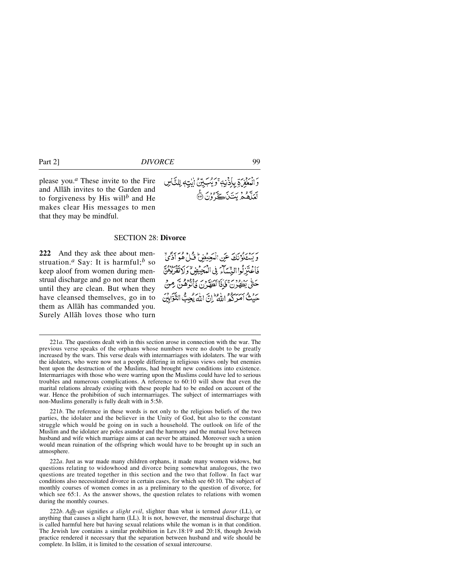please you.*<sup>a</sup>* These invite to the Fire and Allåh invites to the Garden and to forgiveness by His will*<sup>b</sup>* and He makes clear His messages to men that they may be mindful.

## SECTION 28: **Divorce**

**222** And they ask thee about menstruation.*<sup>a</sup>* Say: It is harmful;*<sup>b</sup>* so keep aloof from women during menstrual discharge and go not near them until they are clean. But when they have cleansed themselves, go in to them as Allåh has commanded you. Surely Allåh loves those who turn



بِرِ رِّدِيمُ بِكَ عَنِ الْمَحْبِضِ فَيْلٍ هُوَ أَذَّىٰ فَاعْتَزِلُوا النِّسَاءَ فِي الْمَجِيْضِ وَلَا تَقْرِبُوْهُنَّ حَتَّى يَظْهُرُنَّ فَإِذَا تَطَهَّرُنَّ فَأَنْوَهُنَّ مِنْ حَيْثُ أَمَرِكُمُ اللَّهُ إِنَّ اللَّهُ يُحِبُّ التَّوَّابِيْنَ

221*b*. The reference in these words is not only to the religious beliefs of the two parties, the idolater and the believer in the Unity of God, but also to the constant struggle which would be going on in such a household. The outlook on life of the Muslim and the idolater are poles asunder and the harmony and the mutual love between husband and wife which marriage aims at can never be attained. Moreover such a union would mean ruination of the offspring which would have to be brought up in such an atmosphere.

222*a*. Just as war made many children orphans, it made many women widows, but questions relating to widowhood and divorce being somewhat analogous, the two questions are treated together in this section and the two that follow. In fact war conditions also necessitated divorce in certain cases, for which see 60:10. The subject of monthly courses of women comes in as a preliminary to the question of divorce, for which see 65:1. As the answer shows, the question relates to relations with women during the monthly courses.

222*b*. *Adh-an* signifies *a slight evil*, slighter than what is termed *˙arar* (LL), or anything that causes a slight harm (LL). It is not, however, the menstrual discharge that is called harmful here but having sexual relations while the woman is in that condition. The Jewish law contains a similar prohibition in Lev.18:19 and 20:18, though Jewish practice rendered it necessary that the separation between husband and wife should be complete. In Islåm, it is limited to the cessation of sexual intercourse.

<sup>221</sup>*a*. The questions dealt with in this section arose in connection with the war. The previous verse speaks of the orphans whose numbers were no doubt to be greatly increased by the wars. This verse deals with intermarriages with idolaters. The war with the idolaters, who were now not a people differing in religious views only but enemies bent upon the destruction of the Muslims, had brought new conditions into existence. Intermarriages with those who were warring upon the Muslims could have led to serious troubles and numerous complications. A reference to 60:10 will show that even the marital relations already existing with these people had to be ended on account of the war. Hence the prohibition of such intermarriages. The subject of intermarriages with non-Muslims generally is fully dealt with in 5:5*b*.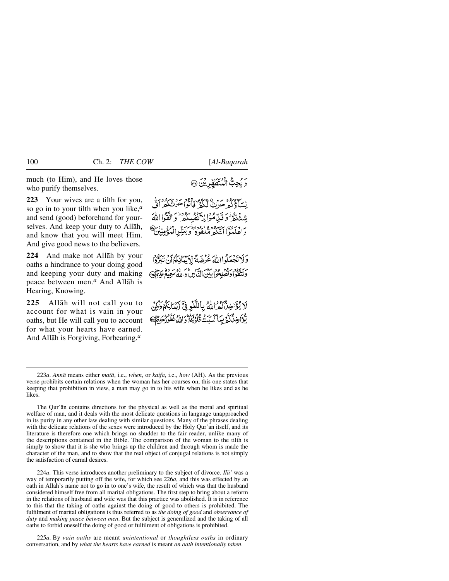much (to Him), and He loves those who purify themselves.

**223** Your wives are a tilth for you, so go in to your tilth when you like,*<sup>a</sup>* and send (good) beforehand for yourselves. And keep your duty to Allåh, and know that you will meet Him. And give good news to the believers.

**224** And make not Allåh by your oaths a hindrance to your doing good and keeping your duty and making peace between men.*<sup>a</sup>* And Allåh is Hearing, Knowing.

**225** Allåh will not call you to account for what is vain in your oaths, but He will call you to account for what your hearts have earned. And Allåh is Forgiving, Forbearing.*<sup>a</sup>*

نِسَاءُ كُهْ ~ رُ. ﴾ أَكَهُمْ فَأَنْوَا حَرْنَنَكُمْ أَنَّى شِئْتُوْدُ وَقَدِّمُوْالِا تَفْسُلُهُ وَاتَّقَوْااللَّهَ بر وبرود سيبره وهي وورد بيتير

وَلَا تَجْعَلُواْ اللَّهَ عُرْضَةً لِّإِيِّمَانِكُمُ أَنْ نَبَرُّوْا حرقيقوا وتصلحوا بين التان والله سميع علامي

لَا يُؤَاخِذُكُمُ اللَّهُ بِاللَّغْوِ فِيَّ أَيْنَانِكُمْ وَلَكِنَّ يُّعَ اخِذْ كَيْرِ بِمَا كَسَدَتْ قُلُوۡنَٰٓكُمۡ وَاللَّهُ عَفُوۡرَٰٓحَامُوۡ﴾

224*a*. This verse introduces another preliminary to the subject of divorce. *Ilå'* was a way of temporarily putting off the wife, for which see 226*a*, and this was effected by an oath in Allåh's name not to go in to one's wife, the result of which was that the husband considered himself free from all marital obligations. The first step to bring about a reform in the relations of husband and wife was that this practice was abolished. It is in reference to this that the taking of oaths against the doing of good to others is prohibited. The fulfilment of marital obligations is thus referred to as *the doing of good* and *observance of duty* and *making peace between men*. But the subject is generalized and the taking of all oaths to forbid oneself the doing of good or fulfilment of obligations is prohibited.

225*a*. By *vain oaths* are meant *unintentional* or *thoughtless oaths* in ordinary conversation, and by *what the hearts have earned* is meant *an oath intentionally taken*.

<sup>223</sup>*a*. *Annå* means either *matå*, i.e., *when*, or *kaifa*, i.e., *how* (AH). As the previous verse prohibits certain relations when the woman has her courses on, this one states that keeping that prohibition in view, a man may go in to his wife when he likes and as he likes.

The Qur'ån contains directions for the physical as well as the moral and spiritual welfare of man, and it deals with the most delicate questions in language unapproached in its purity in any other law dealing with similar questions. Many of the phrases dealing with the delicate relations of the sexes were introduced by the Holy Qur'ån itself, and its literature is therefore one which brings no shudder to the fair reader, unlike many of the descriptions contained in the Bible. The comparison of the woman to the tilth is simply to show that it is she who brings up the children and through whom is made the character of the man, and to show that the real object of conjugal relations is not simply the satisfaction of carnal desires.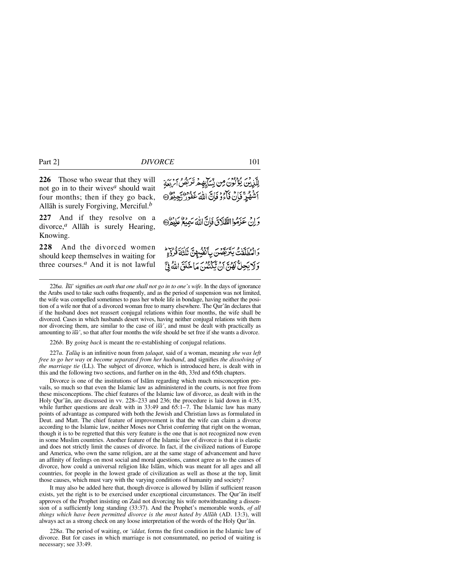**226** Those who swear that they will not go in to their wives*<sup>a</sup>* should wait four months; then if they go back, Allåh is surely Forgiving, Merciful.*<sup>b</sup>*

**227** And if they resolve on a divorce,*a* Allåh is surely Hearing, Knowing.

**228** And the divorced women should keep themselves in waiting for three courses.*<sup>a</sup>* And it is not lawful

لِلَّذِينَ يُؤْلُونَ مِن نِّسَآبِهِ مِ تَرَبَّصُ ٱبِّ رَبِّدَ أَشْهُرٍّ فَإِنْ فَأَءُوْ فَإِنَّ اللَّهُ عَفُورٌ رَّحِيْثُرٌ۞ وَإِنْ هَذَهُوا الطَّلَاقَ فَإِنَّ اللَّهَ سَمِيْعٌ عَلَيْهُمْ @ وَالْمُطَلَّقْتُ يَتَرَبَّصُنَ بِأَنْفُسُهِنَّ تَلْتُهَ قُرُوْءٍ وَلَا يَحِلُّ لَهُنَّ أَنْ يَكْنُنُنَّ مَا خَلَقَ اللَّهُ فِيَّ

226*a*. *Ílå*' signifies *an oath that one shall not go in to one's wife*. In the days of ignorance the Arabs used to take such oaths frequently, and as the period of suspension was not limited, the wife was compelled sometimes to pass her whole life in bondage, having neither the position of a wife nor that of a divorced woman free to marry elsewhere. The Qur'ån declares that if the husband does not reassert conjugal relations within four months, the wife shall be divorced. Cases in which husbands desert wives, having neither conjugal relations with them nor divorcing them, are similar to the case of *ßlå'*, and must be dealt with practically as amounting to *ßlå'*, so that after four months the wife should be set free if she wants a divorce.

226*b*. By *going back* is meant the re-establishing of conjugal relations.

227*a*. *Talāq* is an infinitive noun from *talaqat*, said of a woman, meaning *she was left free to go her way* or *become separated from her husband*, and signifies *the dissolving of the marriage tie* (LL). The subject of divorce, which is introduced here, is dealt with in this and the following two sections, and further on in the 4th, 33rd and 65th chapters.

Divorce is one of the institutions of Islåm regarding which much misconception prevails, so much so that even the Islamic law as administered in the courts, is not free from these misconceptions. The chief features of the Islamic law of divorce, as dealt with in the Holy Qur'ån, are discussed in vv. 228–233 and 236; the procedure is laid down in 4:35, while further questions are dealt with in 33:49 and 65:1–7. The Islamic law has many points of advantage as compared with both the Jewish and Christian laws as formulated in Deut. and Matt. The chief feature of improvement is that the wife can claim a divorce according to the Islamic law, neither Moses nor Christ conferring that right on the woman, though it is to be regretted that this very feature is the one that is not recognized now even in some Muslim countries. Another feature of the Islamic law of divorce is that it is elastic and does not strictly limit the causes of divorce. In fact, if the civilized nations of Europe and America, who own the same religion, are at the same stage of advancement and have an affinity of feelings on most social and moral questions, cannot agree as to the causes of divorce, how could a universal religion like Islåm, which was meant for all ages and all countries, for people in the lowest grade of civilization as well as those at the top, limit those causes, which must vary with the varying conditions of humanity and society?

It may also be added here that, though divorce is allowed by Islåm if sufficient reason exists, yet the right is to be exercised under exceptional circumstances. The Qur'ån itself approves of the Prophet insisting on Zaid not divorcing his wife notwithstanding a dissension of a sufficiently long standing (33:37). And the Prophet's memorable words, *of all things which have been permitted divorce is the most hated by Allåh* (AD. 13:3), will always act as a strong check on any loose interpretation of the words of the Holy Qur'ån.

228*a*. The period of waiting, or *'iddat,* forms the first condition in the Islamic law of divorce. But for cases in which marriage is not consummated, no period of waiting is necessary; see 33:49.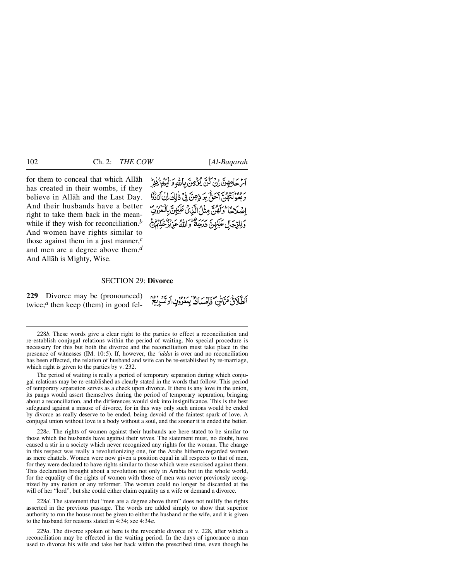for them to conceal that which Allåh has created in their wombs, if they believe in Allåh and the Last Day. And their husbands have a better right to take them back in the meanwhile if they wish for reconciliation.<sup>*b*</sup> And women have rights similar to those against them in a just manner,*<sup>c</sup>* and men are a degree above them.*<sup>d</sup>* And Allåh is Mighty, Wise.

آم حَامِهِنَّ إِنْ كُنَّ يُؤْمِنَّ بِاللَّهِ وَالْبَرْهِ الْأَخِرُّ ٢ ووجود من من بردوش في ذلك إن أرادة إِصْلَاحًا وَلَهُنَّ مِثْلُ الَّذِي عَلَيْهِنَّ بِالْمَرُونِ وَلِلدِّجَالِ عَلَيْهِينَ يَرْيَبُ وَإِذَاءٍ عَزِيْزٌ حَلَّهُمْ ۖ

#### SECTION 29: **Divorce**

**229** Divorce may be (pronounced) twice;*<sup>a</sup>* then keep (them) in good fel-

أَلطَّلَاقُ مَرَّسْنِ فَإِمْسَاكٌ بِمَعْرُوْنِ أَوْتَسْرِيَةٍ ۚ

228*b.* These words give a clear right to the parties to effect a reconciliation and re-establish conjugal relations within the period of waiting. No special procedure is necessary for this but both the divorce and the reconciliation must take place in the presence of witnesses (IM. 10:5). If, however, the *'iddat* is over and no reconciliation has been effected, the relation of husband and wife can be re-established by re-marriage, which right is given to the parties by v. 232.

The period of waiting is really a period of temporary separation during which conjugal relations may be re-established as clearly stated in the words that follow. This period of temporary separation serves as a check upon divorce. If there is any love in the union, its pangs would assert themselves during the period of temporary separation, bringing about a reconciliation, and the differences would sink into insignificance. This is the best safeguard against a misuse of divorce, for in this way only such unions would be ended by divorce as really deserve to be ended, being devoid of the faintest spark of love. A conjugal union without love is a body without a soul, and the sooner it is ended the better.

228*c*. The rights of women against their husbands are here stated to be similar to those which the husbands have against their wives. The statement must, no doubt, have caused a stir in a society which never recognized any rights for the woman. The change in this respect was really a revolutionizing one, for the Arabs hitherto regarded women as mere chattels. Women were now given a position equal in all respects to that of men, for they were declared to have rights similar to those which were exercised against them. This declaration brought about a revolution not only in Arabia but in the whole world, for the equality of the rights of women with those of men was never previously recognized by any nation or any reformer. The woman could no longer be discarded at the will of her "lord", but she could either claim equality as a wife or demand a divorce.

228*d*. The statement that "men are a degree above them" does not nullify the rights asserted in the previous passage. The words are added simply to show that superior authority to run the house must be given to either the husband or the wife, and it is given to the husband for reasons stated in 4:34; see 4:34*a*.

229*a*. The divorce spoken of here is the revocable divorce of v. 228, after which a reconciliation may be effected in the waiting period. In the days of ignorance a man used to divorce his wife and take her back within the prescribed time, even though he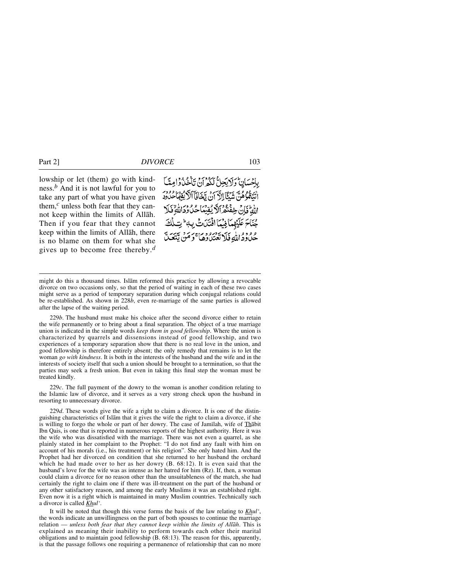lowship or let (them) go with kindness.*<sup>b</sup>* And it is not lawful for you to take any part of what you have given them,*<sup>c</sup>* unless both fear that they cannot keep within the limits of Allåh. Then if you fear that they cannot keep within the limits of Allåh, there is no blame on them for what she gives up to become free thereby.*<sup>d</sup>* بإخسان ولايجلُّ لَكُمران تَأْخُذُوا مِيًّا الْتَقْوُهُنَّ شَيْئًا إِلَاَّ أَنْ تَخَافَآ الْأَيْقِهَا حُدُودَ اللَّهُ فَإِنَّ خِفْتُهُ ٱلَّهَ يُقِيِّبَاحُكَ دَدَاللَّهُ فَلَا جُنَاحَ عَلَيْهِمَا فِنْمَا افْتَدَىتْ بِ4 ۖ تِ ء وود <sub>الل</sub>ه فَلا تَعْتَدُوهِ) حَرَمَنْ يَتَعَ

229*b*. The husband must make his choice after the second divorce either to retain the wife permanently or to bring about a final separation. The object of a true marriage union is indicated in the simple words *keep them in good fellowship*. Where the union is characterized by quarrels and dissensions instead of good fellowship, and two experiences of a temporary separation show that there is no real love in the union, and good fellowship is therefore entirely absent; the only remedy that remains is to let the woman *go with kindness*. It is both in the interests of the husband and the wife and in the interests of society itself that such a union should be brought to a termination, so that the parties may seek a fresh union. But even in taking this final step the woman must be treated kindly.

229*c*. The full payment of the dowry to the woman is another condition relating to the Islamic law of divorce, and it serves as a very strong check upon the husband in resorting to unnecessary divorce.

229*d*. These words give the wife a right to claim a divorce. It is one of the distinguishing characteristics of Islåm that it gives the wife the right to claim a divorce, if she is willing to forgo the whole or part of her dowry. The case of Jamilah, wife of **Thabit** Ibn Qais, is one that is reported in numerous reports of the highest authority. Here it was the wife who was dissatisfied with the marriage. There was not even a quarrel, as she plainly stated in her complaint to the Prophet: "I do not find any fault with him on account of his morals (i.e., his treatment) or his religion". She only hated him. And the Prophet had her divorced on condition that she returned to her husband the orchard which he had made over to her as her dowry (B. 68:12). It is even said that the husband's love for the wife was as intense as her hatred for him (Rz). If, then, a woman could claim a divorce for no reason other than the unsuitableness of the match, she had certainly the right to claim one if there was ill-treatment on the part of the husband or any other satisfactory reason, and among the early Muslims it was an established right. Even now it is a right which is maintained in many Muslim countries. Technically such a divorce is called *Khul'*.

It will be noted that though this verse forms the basis of the law relating to *Khul'*, the words indicate an unwillingness on the part of both spouses to continue the marriage relation — *unless both fear that they cannot keep within the limits of Allåh*. This is explained as meaning their inability to perform towards each other their marital obligations and to maintain good fellowship (B. 68:13). The reason for this, apparently, is that the passage follows one requiring a permanence of relationship that can no more

might do this a thousand times. Islåm reformed this practice by allowing a revocable divorce on two occasions only, so that the period of waiting in each of these two cases might serve as a period of temporary separation during which conjugal relations could be re-established. As shown in 228*b*, even re-marriage of the same parties is allowed after the lapse of the waiting period.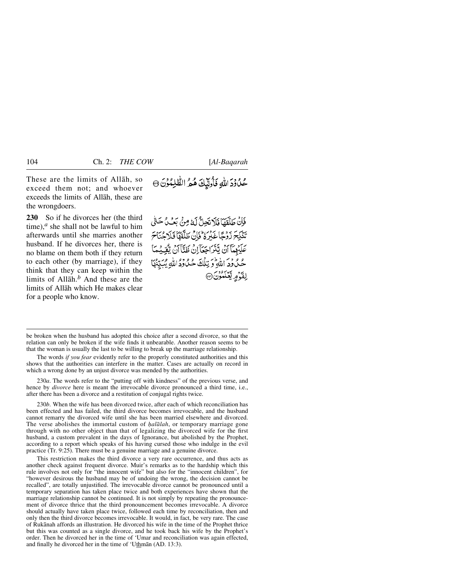These are the limits of Allåh, so exceed them not; and whoever exceeds the limits of Allåh, these are the wrongdoers.

**230** So if he divorces her (the third time), $a$  she shall not be lawful to him afterwards until she marries another husband. If he divorces her, there is no blame on them both if they return to each other (by marriage), if they think that they can keep within the limits of Allåh.*<sup>b</sup>* And these are the limits of Allåh which He makes clear for a people who know.

فَإِنْ طَلَّقَهَا فَلَا تَجِلُّ لَهُ مِنْ بَعْثِ حَتَّىٰ تَنْكِحَ زَوْجًا غَيْرِةٌ فَإِنَّ طَلَّقَهَا فَلَاجُنَاحَ عَلَيْهِمَّا أَنْ يَتَرَاجَعَآ إِنْ ظَنَّآ أَنْ يُّقِيَّمَآ عَمَّدُودَ اللَّهِ وَيَنْلَقَ حُكْوَدَ اللَّهِ يُبَيِّبُهَا لقَوْمِ يَّعْلَمُوْنَ @

be broken when the husband has adopted this choice after a second divorce, so that the relation can only be broken if the wife finds it unbearable. Another reason seems to be that the woman is usually the last to be willing to break up the marriage relationship.

The words *if you fear* evidently refer to the properly constituted authorities and this shows that the authorities can interfere in the matter. Cases are actually on record in which a wrong done by an unjust divorce was mended by the authorities.

230*a*. The words refer to the "putting off with kindness" of the previous verse, and hence by *divorce* here is meant the irrevocable divorce pronounced a third time, i.e., after there has been a divorce and a restitution of conjugal rights twice.

230*b*. When the wife has been divorced twice, after each of which reconciliation has been effected and has failed, the third divorce becomes irrevocable, and the husband cannot remarry the divorced wife until she has been married elsewhere and divorced. The verse abolishes the immortal custom of *halālah*, or temporary marriage gone through with no other object than that of legalizing the divorced wife for the first husband, a custom prevalent in the days of Ignorance, but abolished by the Prophet, according to a report which speaks of his having cursed those who indulge in the evil practice (Tr. 9:25). There must be a genuine marriage and a genuine divorce.

This restriction makes the third divorce a very rare occurrence, and thus acts as another check against frequent divorce. Muir's remarks as to the hardship which this rule involves not only for "the innocent wife" but also for the "innocent children", for "however desirous the husband may be of undoing the wrong, the decision cannot be recalled", are totally unjustified. The irrevocable divorce cannot be pronounced until a temporary separation has taken place twice and both experiences have shown that the marriage relationship cannot be continued. It is not simply by repeating the pronouncement of divorce thrice that the third pronouncement becomes irrevocable. A divorce should actually have taken place twice, followed each time by reconciliation, then and only then the third divorce becomes irrevocable. It would, in fact, be very rare. The case of Rukånah affords an illustration. He divorced his wife in the time of the Prophet thrice but this was counted as a single divorce, and he took back his wife by the Prophet's order. Then he divorced her in the time of 'Umar and reconciliation was again effected, and finally he divorced her in the time of 'Uthmån (AD. 13:3).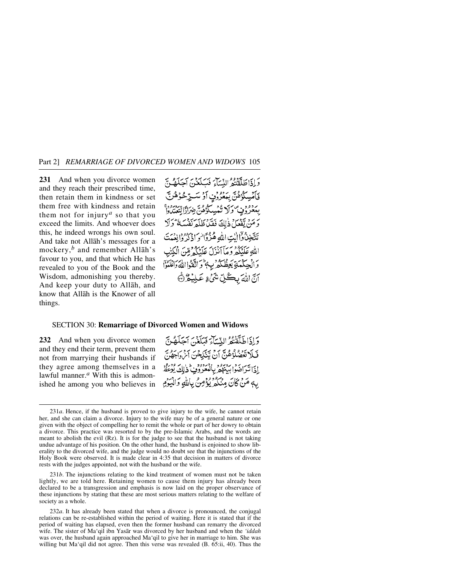**231** And when you divorce women and they reach their prescribed time, then retain them in kindness or set them free with kindness and retain them not for injury*<sup>a</sup>* so that you exceed the limits. And whoever does this, he indeed wrongs his own soul. And take not Allåh's messages for a mockery,*<sup>b</sup>* and remember Allåh's favour to you, and that which He has revealed to you of the Book and the Wisdom, admonishing you thereby. And keep your duty to Allåh, and know that Allåh is the Knower of all things.

وَإِذَاطَلَقْتُمُّ النِّسَاءَ فَبَلَغَنَّ آجَلَهُنَّ قَاَمْسِكُوْهُنَّ بِبَعْرُونٍ أَوْ سَتِرْحُوُهُنَّ بِهَ دُوْنٍ وَلَا تُمُسِكُوْهُنَّ ضِرَارًا تَتَعَتَّدُواْ وَمَنْ يَقْعَلْ ذٰلِكَ فَقَدْ ظَلَمَ نَفْسَهُ ۚ وَلَا تَتَّخِذُوا اللَّهِ اللَّهِ هُزُوَّا وَاذْكُرُوانِ مِّمَتَ اللهِ عَلَيْكُمْ وَمَأَ أَنْزَلَ عَلَيْكُمْ قِنَّ الْكِتْبِ وَالْحِكْمَةِ يَعِظُكُمْ بِ الْمَوَاتَقَوْااللَّهُ وَاعْلَمُوًّا أَنَّ اللَّهَ بِكُلِّ شَيْءٍ عَلِيْهُ هُ

## SECTION 30: **Remarriage of Divorced Women and Widows**

**232** And when you divorce women and they end their term, prevent them not from marrying their husbands if they agree among themselves in a lawful manner.*<sup>a</sup>* With this is admonished he among you who believes in

وَإِذَاطَلَقْتُمُّ النِّسَاءَ فَبَلَغَنَّ آجَلَهُنَّ فَلَا تَعْمُلُؤُهُنَّ أَنْ يَنْكِحْنَ آَنْ أَجْهُنَّ إذا تَرَاضَوْا بِهَنْهُمْ بِالْعَزْوُفِ ذٰلِكَ يُوعِظُ بِهٖ مَنْ كَانَ مِنْكُمْ يُؤْمِنُ بِاللَّهِ وَالْيَوْمِ

231*b*. The injunctions relating to the kind treatment of women must not be taken lightly, we are told here. Retaining women to cause them injury has already been declared to be a transgression and emphasis is now laid on the proper observance of these injunctions by stating that these are most serious matters relating to the welfare of society as a whole.

232*a*. It has already been stated that when a divorce is pronounced, the conjugal relations can be re-established within the period of waiting. Here it is stated that if the period of waiting has elapsed, even then the former husband can remarry the divorced wife. The sister of Ma'qil ibn Yasår was divorced by her husband and when the *'iddah* was over, the husband again approached Ma'qil to give her in marriage to him. She was willing but Ma'qil did not agree. Then this verse was revealed (B. 65:ii, 40). Thus the

<sup>231</sup>*a*. Hence, if the husband is proved to give injury to the wife, he cannot retain her, and she can claim a divorce. Injury to the wife may be of a general nature or one given with the object of compelling her to remit the whole or part of her dowry to obtain a divorce. This practice was resorted to by the pre-Islamic Arabs, and the words are meant to abolish the evil  $(Rz)$ . It is for the judge to see that the husband is not taking undue advantage of his position. On the other hand, the husband is enjoined to show liberality to the divorced wife, and the judge would no doubt see that the injunctions of the Holy Book were observed. It is made clear in 4:35 that decision in matters of divorce rests with the judges appointed, not with the husband or the wife.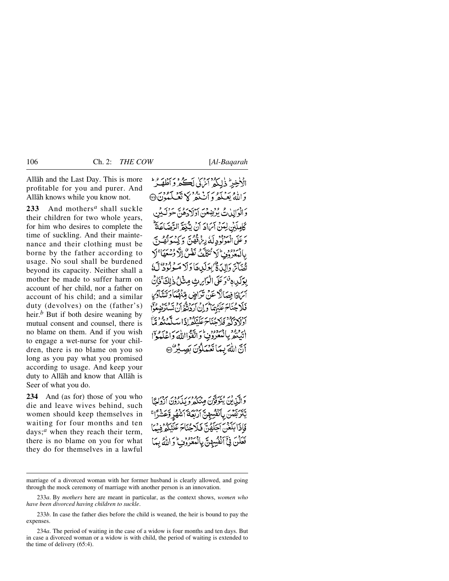Allåh and the Last Day. This is more profitable for you and purer. And Allåh knows while you know not.

**233** And mothers*<sup>a</sup>* shall suckle their children for two whole years, for him who desires to complete the time of suckling. And their maintenance and their clothing must be borne by the father according to usage. No soul shall be burdened beyond its capacity. Neither shall a mother be made to suffer harm on account of her child, nor a father on account of his child; and a similar duty (devolves) on the (father's) heir.*<sup>b</sup>* But if both desire weaning by mutual consent and counsel, there is no blame on them. And if you wish to engage a wet-nurse for your children, there is no blame on you so long as you pay what you promised according to usage. And keep your duty to Allåh and know that Allåh is Seer of what you do.

**234** And (as for) those of you who die and leave wives behind, such women should keep themselves in waiting for four months and ten days;*<sup>a</sup>* when they reach their term, there is no blame on you for what they do for themselves in a lawful الْأَخِيرُ ذٰلِكُهُ ْ آمْرُنِي لَڪُهُ وَ ٱطْلَعَيْهُ ۖ وَاللَّهُ بَعَبَكُمْ وَأَنْ يَدْبَرُ دَ الْوَالِدِٰنُ يُؤْضِعُهَ، أَوْلَا دَهُنَّ حَوْ كَأْمِلَكِنْ لِعَنْ آيَامَادَ أَنْ يَتَّبْغَدَّ الدَّضَرَ وَ عَلَى الْمَوْلُوْدِ لَهُ رِبْرُهُ فَقُوسٍ وَ كِيهُ وَ تَقُدِيَ د ووو علا تُكَلَّفُ نَفْهُ بآيَّ دَالِدَ فَيُسْبَوِلَدِيهَا دَلا بِوَلَدِي قَوَعَلَى الْوَابِرِيْ مِنْذَلُ ذٰلِكَ ۚ فَإِ أبرادًا فصَألَكٌ عَنْ تَدَاجِرٌ، مِّيَوْمُ فَلَا جُنَاحَ عَلَيْهِمَا وَإِنْ أَرَدْتُهُمْ أَدْلَادَكُمْ فَلَاحُنَاحَ عَلَّنْكُمْ إِذَا مِدَ اير فعجز بالمعروف واتقواالله واغلبوا أَنَّ اللَّهَ بِمَا تَعْمَلُوُنَ بَصِيْرٌ @

وَالَّذِينَ يُتَوَفَّوْنَ مِنْكُمْ وَيَذَادُونَ آزْدَاجًا يَّتَرَبَّصُنَ بِٱنْفُسِهِنَّ أَرْبَعَةَ أَشْهُرٍ وَعَشَرًا ۚ فَأَذَا بَلَغْنَ آَجَلَهُنَّ فَلَاحُنَاجَ عَلَيْكُمْ فِيهَا فِيِّ أَنْفُسِهِنَّ بِالْمُعْرُوْفِ كَرَالَّهُ بِيَا

marriage of a divorced woman with her former husband is clearly allowed, and going through the mock ceremony of marriage with another person is an innovation.

<sup>233</sup>*a*. By *mothers* here are meant in particular, as the context shows, *women who have been divorced having children to suckle*.

<sup>233</sup>*b*. In case the father dies before the child is weaned, the heir is bound to pay the expenses.

<sup>234</sup>*a*. The period of waiting in the case of a widow is four months and ten days. But in case a divorced woman or a widow is with child, the period of waiting is extended to the time of delivery (65:4).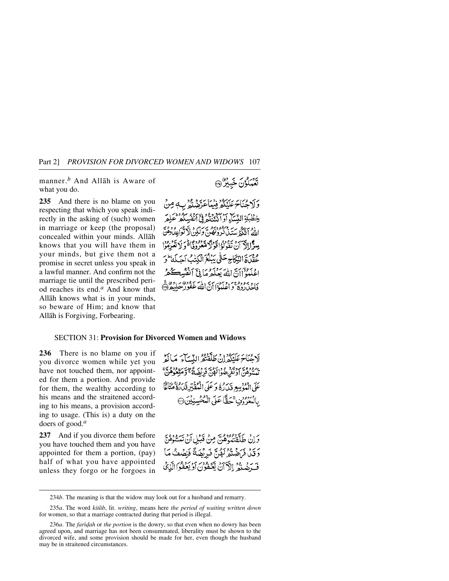manner.*<sup>b</sup>* And Allåh is Aware of what you do.

**235** And there is no blame on you respecting that which you speak indirectly in the asking of (such) women in marriage or keep (the proposal) concealed within your minds. Allåh knows that you will have them in your minds, but give them not a promise in secret unless you speak in a lawful manner. And confirm not the marriage tie until the prescribed period reaches its end.*<sup>a</sup>* And know that Allåh knows what is in your minds, so beware of Him; and know that Allåh is Forgiving, Forbearing.

تَعَمَلُونَ خَبِيرٌ (آ

وَلَا جُنَاجَ عَلَنْكُمْ فِيُبِأَعَدَّ مِنْهُ بِ مِنْ خطْبَة النَّسَآء الأثم أملككم ستذرك وقفا أَنْ تَقَدَّلُوا قَدْ عُقْدَةِ النِّكَاجِ حَتَّى يَبْلُغَ ٱلْكِذ إغلبوان الله يعلموها في أنفسه ي وبروده بر وسود اي دار سودور ساده عج<br>فاحياروه و اعليوا أن الله غفور سليگرد

## SECTION 31: **Provision for Divorced Women and Widows**

**236** There is no blame on you if you divorce women while yet you have not touched them, nor appointed for them a portion. And provide for them, the wealthy according to his means and the straitened according to his means, a provision according to usage. (This is) a duty on the doers of good.*<sup>a</sup>*

**237** And if you divorce them before you have touched them and you have appointed for them a portion, (pay) half of what you have appointed unless they forgo or he forgoes in لَاهُنَاءَ عَلَنْكُمْ إِنْ طَلَقْتُمُ النِّسَاءَ ۖ مَا أَوْ يبرود وسرد و د مرد به د د سر شيود.<br>تيسه هن اد نفر عبوا لهن فريضتَه و متعوّ عَلَى الْمَوْسِعِ قَدَرُهُ وَ عَلَى الْمُقَبِّرِ قَدَارُهُ ۚ بِالْمَعْرُونِ تَحَقَّاً عَلَى الْمُحْسِنِيْنَ @

وَإِنْ طَلَّقْتَنُوْهُنَّ مِنْ قَبْلِ أَنْ تَمَسُّوُهُنَّ دَقِيلٌ فَرَاضُتُمْ لَهُنَّ فَبِرِيْضَةً فَنِصْفُ مَا فَ ضَنَّةُ ۚ إِلَّآ أَنۡ يَّعۡفُوۡنَ أَوۡ يَعۡفُوۡاْلِّذِيۡ ۚ

<sup>234</sup>*b*. The meaning is that the widow may look out for a husband and remarry.

<sup>235</sup>*a*. The word *kitåb*, lit. *writing*, means here *the period of waiting written down* for women, so that a marriage contracted during that period is illegal.

<sup>236</sup>*a*. The *faridah* or *the portion* is the dowry, so that even when no dowry has been agreed upon, and marriage has not been consummated, liberality must be shown to the divorced wife, and some provision should be made for her, even though the husband may be in straitened circumstances.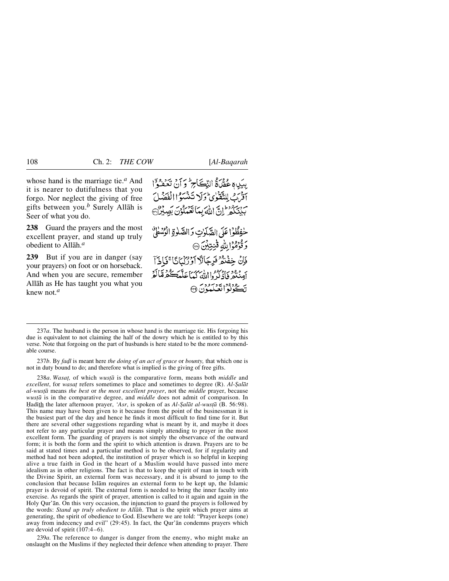whose hand is the marriage tie.*<sup>a</sup>* And it is nearer to dutifulness that you forgo. Nor neglect the giving of free gifts between you.*<sup>b</sup>* Surely Allåh is Seer of what you do.

**238** Guard the prayers and the most excellent prayer, and stand up truly obedient to Allåh.*<sup>a</sup>*

**239** But if you are in danger (say your prayers) on foot or on horseback. And when you are secure, remember Allåh as He has taught you what you knew not.*<sup>a</sup>*

بِيَبِي هُ عَمَلٌ فَالِدِّجَ لِمَ أَنْ نَعْفُوْا اِذْرَبْ لِلتَّقَوْٰى وَلَا تَنْشَوْاالْفَصَٰلَ بَيْنَكُمْ إِنَّ اللَّهَ بِمَا نَعْمَلُوْنَ بَصِبْرُدْ﴾ حْفِظُوْا عَلَى الصَّلَوٰتِ وَالصَّلَوٰةِ الْوُسُطَىٰ وَقَوْمُوْالِلَّهِ قَنِيِّبُنَ ۞ فَإِنْ خِفْنَةُ فَرِجَالًا أَوْرُكْبَانًا ۚ فَإِذَآ ر و و در دره داران برس<br>امنتفر فاذکر داالله کیماعلّیڪم مَالَمْ تڪوبودا ټيز کودن (آ

237*a*. The husband is the person in whose hand is the marriage tie. His forgoing his due is equivalent to not claiming the half of the dowry which he is entitled to by this verse. Note that forgoing on the part of husbands is here stated to be the more commendable course.

237*b*. By *fa˙l* is meant here *the doing of an act of grace* or *bounty,* that which one is not in duty bound to do; and therefore what is implied is the giving of free gifts.

238*a*. *Wasat*, of which *wustā* is the comparative form, means both *middle* and *excellent*, for *wasat* refers sometimes to place and sometimes to degree (R). *Al-Şalāt al-wusƌ* means *the best* or *the most excellent prayer*, not the *middle* prayer, because *wusƌ* is in the comparative degree, and *middle* does not admit of comparison. In Hadith the later afternoon prayer, 'Asr, is spoken of as *Al-Şalāt al-wusțā* (B. 56:98). This name may have been given to it because from the point of the businessman it is the busiest part of the day and hence he finds it most difficult to find time for it. But there are several other suggestions regarding what is meant by it, and maybe it does not refer to any particular prayer and means simply attending to prayer in the most excellent form. The guarding of prayers is not simply the observance of the outward form; it is both the form and the spirit to which attention is drawn. Prayers are to be said at stated times and a particular method is to be observed, for if regularity and method had not been adopted, the institution of prayer which is so helpful in keeping alive a true faith in God in the heart of a Muslim would have passed into mere idealism as in other religions. The fact is that to keep the spirit of man in touch with the Divine Spirit, an external form was necessary, and it is absurd to jump to the conclusion that because Islåm requires an external form to be kept up, the Islamic prayer is devoid of spirit. The external form is needed to bring the inner faculty into exercise. As regards the spirit of prayer, attention is called to it again and again in the Holy Qur'ån. On this very occasion, the injunction to guard the prayers is followed by the words: *Stand up truly obedient to Allåh*. That is the spirit which prayer aims at generating, the spirit of obedience to God. Elsewhere we are told: "Prayer keeps (one) away from indecency and evil" (29:45). In fact, the Qur'ån condemns prayers which are devoid of spirit (107:4–6).

239*a*. The reference to danger is danger from the enemy, who might make an onslaught on the Muslims if they neglected their defence when attending to prayer. There